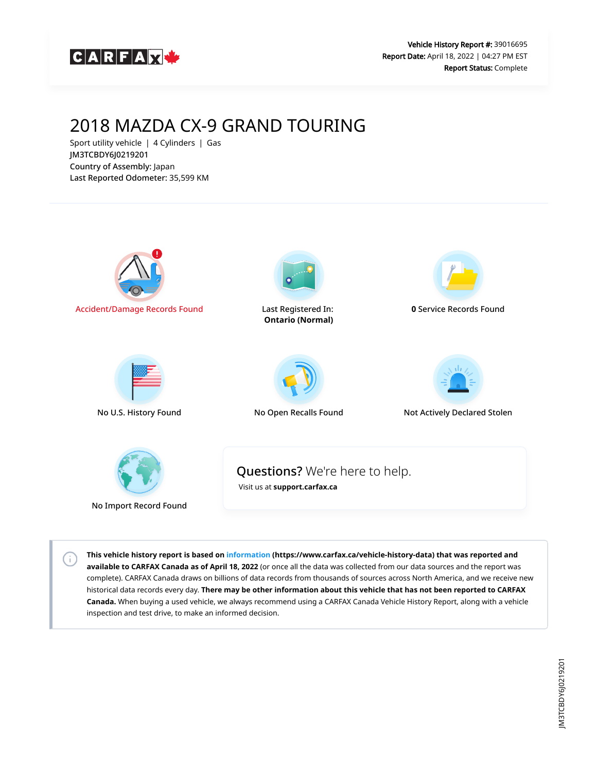

# 2018 MAZDA CX-9 GRAND TOURING

Sport utility vehicle | 4 Cylinders | Gas JM3TCBDY6J0219201 Country of Assembly: Japan Last Reported Odometer: 35,599 KM

 $\left( \cdot \right)$ 



**This vehicle history report is based on [information](https://www.carfax.ca/vehicle-history-data) (https://www.carfax.ca/vehicle-history-data) that was reported and available to CARFAX Canada as of April 18, 2022** (or once all the data was collected from our data sources and the report was complete). CARFAX Canada draws on billions of data records from thousands of sources across North America, and we receive new historical data records every day. **There may be other information about this vehicle that has not been reported to CARFAX Canada.** When buying a used vehicle, we always recommend using a CARFAX Canada Vehicle History Report, along with a vehicle inspection and test drive, to make an informed decision.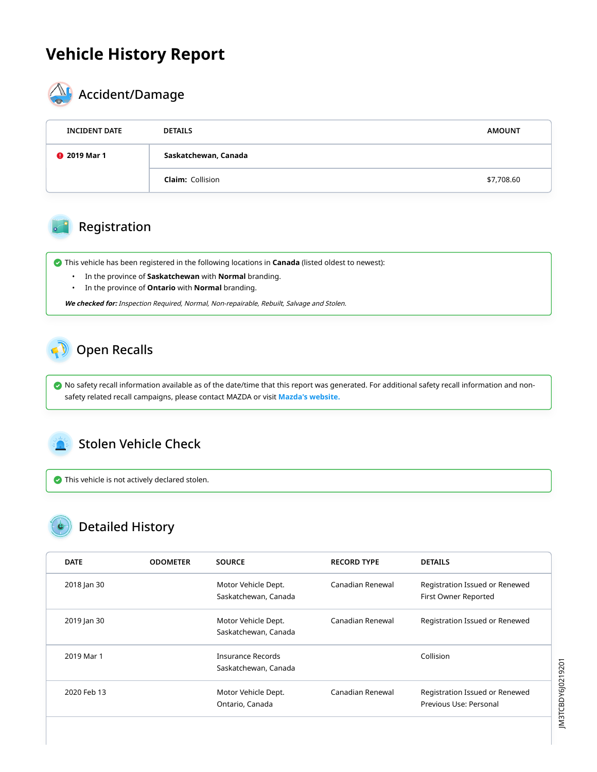## **Vehicle History Report**



## $\mathbf{M}_{\bullet}$  Accident/Damage

| <b>INCIDENT DATE</b> | <b>DETAILS</b>          | <b>AMOUNT</b> |
|----------------------|-------------------------|---------------|
| <b>@</b> 2019 Mar 1  | Saskatchewan, Canada    |               |
|                      | <b>Claim:</b> Collision | \$7,708.60    |

#### Registration

This vehicle has been registered in the following locations in **Canada** (listed oldest to newest):

- In the province of **Saskatchewan** with **Normal** branding.
- In the province of **Ontario** with **Normal** branding.

**We checked for:** Inspection Required, Normal, Non-repairable, Rebuilt, Salvage and Stolen.

### Open Recalls

 No safety recall information available as of the date/time that this report was generated. For additional safety recall information and nonsafety related recall campaigns, please contact MAZDA or visit **[Mazda's website.](https://www.mazda.ca/en/owners/recalls/)**

#### Stolen Vehicle Check

 $\bullet$  This vehicle is not actively declared stolen.

## Detailed History

| <b>DATE</b> | <b>ODOMETER</b> | <b>SOURCE</b>                                    | <b>RECORD TYPE</b> | <b>DETAILS</b>                                           |
|-------------|-----------------|--------------------------------------------------|--------------------|----------------------------------------------------------|
| 2018 Jan 30 |                 | Motor Vehicle Dept.<br>Saskatchewan, Canada      | Canadian Renewal   | Registration Issued or Renewed<br>First Owner Reported   |
| 2019 Jan 30 |                 | Motor Vehicle Dept.<br>Saskatchewan, Canada      | Canadian Renewal   | Registration Issued or Renewed                           |
| 2019 Mar 1  |                 | <b>Insurance Records</b><br>Saskatchewan, Canada |                    | Collision                                                |
| 2020 Feb 13 |                 | Motor Vehicle Dept.<br>Ontario, Canada           | Canadian Renewal   | Registration Issued or Renewed<br>Previous Use: Personal |